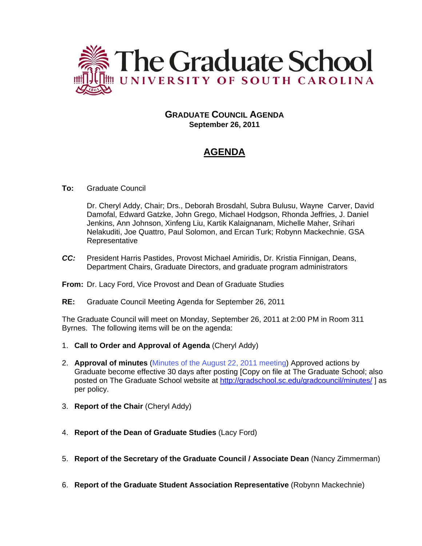

## **GRADUATE COUNCIL AGENDA September 26, 2011**

# **AGENDA**

## **To:** Graduate Council

Dr. Cheryl Addy, Chair; Drs., Deborah Brosdahl, Subra Bulusu, Wayne Carver, David Damofal, Edward Gatzke, John Grego, Michael Hodgson, Rhonda Jeffries, J. Daniel Jenkins, Ann Johnson, Xinfeng Liu, Kartik Kalaignanam, Michelle Maher, Srihari Nelakuditi, Joe Quattro, Paul Solomon, and Ercan Turk; Robynn Mackechnie. GSA Representative

*CC:* President Harris Pastides, Provost Michael Amiridis, Dr. Kristia Finnigan, Deans, Department Chairs, Graduate Directors, and graduate program administrators

#### **From:** Dr. Lacy Ford, Vice Provost and Dean of Graduate Studies

**RE:** Graduate Council Meeting Agenda for September 26, 2011

The Graduate Council will meet on Monday, September 26, 2011 at 2:00 PM in Room 311 Byrnes. The following items will be on the agenda:

- 1. **Call to Order and Approval of Agenda** (Cheryl Addy)
- 2. **Approval of minutes** [\(Minutes of the August 22, 2011 meeting\)](http://gradschool.sc.edu/gradcouncil/docs/agenda-08-22-11.pdf) Approved actions by Graduate become effective 30 days after posting [Copy on file at The Graduate School; also posted on The Graduate School website at <http://gradschool.sc.edu/gradcouncil/minutes/> ] as per policy.
- 3. **Report of the Chair** (Cheryl Addy)
- 4. **Report of the Dean of Graduate Studies** (Lacy Ford)
- 5. **Report of the Secretary of the Graduate Council / Associate Dean** (Nancy Zimmerman)
- 6. **Report of the Graduate Student Association Representative** (Robynn Mackechnie)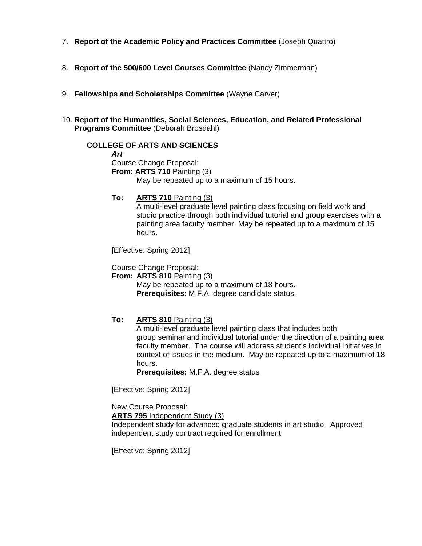- 7. **Report of the Academic Policy and Practices Committee** (Joseph Quattro)
- 8. **Report of the 500/600 Level Courses Committee** (Nancy Zimmerman)
- 9. **Fellowships and Scholarships Committee** (Wayne Carver)
- 10. **Report of the Humanities, Social Sciences, Education, and Related Professional Programs Committee** (Deborah Brosdahl)

## **COLLEGE OF ARTS AND SCIENCES**

*Art* 

Course Change Proposal: **From: ARTS 710 Painting (3)** May be repeated up to a maximum of 15 hours.

**To: ARTS 710** Painting (3)

A multi-level graduate level painting class focusing on field work and studio practice through both individual tutorial and group exercises with a painting area faculty member. May be repeated up to a maximum of 15 hours.

[Effective: Spring 2012]

Course Change Proposal:

**From: ARTS 810** Painting (3)

May be repeated up to a maximum of 18 hours. **Prerequisites**: M.F.A. degree candidate status.

**To: ARTS 810** Painting (3)

A multi-level graduate level painting class that includes both group seminar and individual tutorial under the direction of a painting area faculty member. The course will address student's individual initiatives in context of issues in the medium. May be repeated up to a maximum of 18 hours.

 **Prerequisites:** M.F.A. degree status

[Effective: Spring 2012]

New Course Proposal:

**ARTS 795** Independent Study (3)

Independent study for advanced graduate students in art studio. Approved independent study contract required for enrollment.

[Effective: Spring 2012]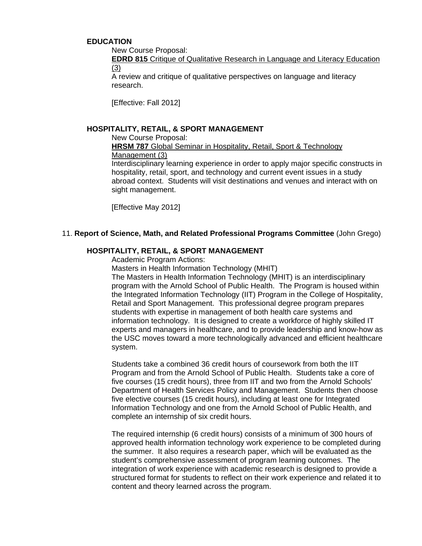#### **EDUCATION**

New Course Proposal:

**EDRD 815** Critique of Qualitative Research in Language and Literacy Education (3)

A review and critique of qualitative perspectives on language and literacy research.

[Effective: Fall 2012]

## **HOSPITALITY, RETAIL, & SPORT MANAGEMENT**

New Course Proposal:

#### **HRSM 787** Global Seminar in Hospitality, Retail, Sport & Technology Management (3)

Interdisciplinary learning experience in order to apply major specific constructs in hospitality, retail, sport, and technology and current event issues in a study abroad context. Students will visit destinations and venues and interact with on sight management.

[Effective May 2012]

#### 11. **Report of Science, Math, and Related Professional Programs Committee** (John Grego)

## **HOSPITALITY, RETAIL, & SPORT MANAGEMENT**

Academic Program Actions:

Masters in Health Information Technology (MHIT)

The Masters in Health Information Technology (MHIT) is an interdisciplinary program with the Arnold School of Public Health. The Program is housed within the Integrated Information Technology (IIT) Program in the College of Hospitality, Retail and Sport Management. This professional degree program prepares students with expertise in management of both health care systems and information technology. It is designed to create a workforce of highly skilled IT experts and managers in healthcare, and to provide leadership and know-how as the USC moves toward a more technologically advanced and efficient healthcare system.

 Students take a combined 36 credit hours of coursework from both the IIT Program and from the Arnold School of Public Health. Students take a core of five courses (15 credit hours), three from IIT and two from the Arnold Schools' Department of Health Services Policy and Management. Students then choose five elective courses (15 credit hours), including at least one for Integrated Information Technology and one from the Arnold School of Public Health, and complete an internship of six credit hours.

The required internship (6 credit hours) consists of a minimum of 300 hours of approved health information technology work experience to be completed during the summer. It also requires a research paper, which will be evaluated as the student's comprehensive assessment of program learning outcomes. The integration of work experience with academic research is designed to provide a structured format for students to reflect on their work experience and related it to content and theory learned across the program.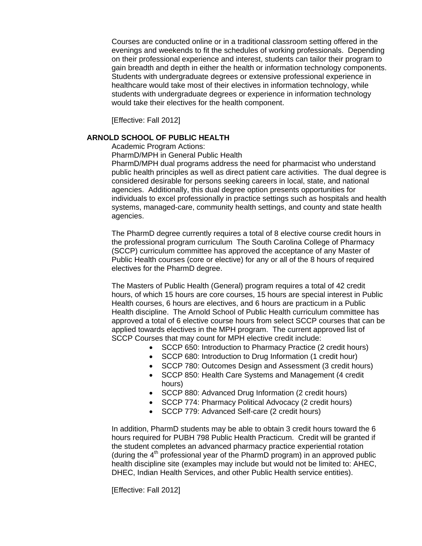Courses are conducted online or in a traditional classroom setting offered in the evenings and weekends to fit the schedules of working professionals. Depending on their professional experience and interest, students can tailor their program to gain breadth and depth in either the health or information technology components. Students with undergraduate degrees or extensive professional experience in healthcare would take most of their electives in information technology, while students with undergraduate degrees or experience in information technology would take their electives for the health component.

[Effective: Fall 2012]

#### **ARNOLD SCHOOL OF PUBLIC HEALTH**

Academic Program Actions:

PharmD/MPH in General Public Health

 PharmD/MPH dual programs address the need for pharmacist who understand public health principles as well as direct patient care activities. The dual degree is considered desirable for persons seeking careers in local, state, and national agencies. Additionally, this dual degree option presents opportunities for individuals to excel professionally in practice settings such as hospitals and health systems, managed-care, community health settings, and county and state health agencies.

The PharmD degree currently requires a total of 8 elective course credit hours in the professional program curriculum The South Carolina College of Pharmacy (SCCP) curriculum committee has approved the acceptance of any Master of Public Health courses (core or elective) for any or all of the 8 hours of required electives for the PharmD degree.

The Masters of Public Health (General) program requires a total of 42 credit hours, of which 15 hours are core courses, 15 hours are special interest in Public Health courses, 6 hours are electives, and 6 hours are practicum in a Public Health discipline. The Arnold School of Public Health curriculum committee has approved a total of 6 elective course hours from select SCCP courses that can be applied towards electives in the MPH program. The current approved list of SCCP Courses that may count for MPH elective credit include:

- SCCP 650: Introduction to Pharmacy Practice (2 credit hours)
- SCCP 680: Introduction to Drug Information (1 credit hour)
- SCCP 780: Outcomes Design and Assessment (3 credit hours)
- SCCP 850: Health Care Systems and Management (4 credit hours)
- SCCP 880: Advanced Drug Information (2 credit hours)
- SCCP 774: Pharmacy Political Advocacy (2 credit hours)
- SCCP 779: Advanced Self-care (2 credit hours)

In addition, PharmD students may be able to obtain 3 credit hours toward the 6 hours required for PUBH 798 Public Health Practicum. Credit will be granted if the student completes an advanced pharmacy practice experiential rotation (during the  $4<sup>th</sup>$  professional year of the PharmD program) in an approved public health discipline site (examples may include but would not be limited to: AHEC, DHEC, Indian Health Services, and other Public Health service entities).

[Effective: Fall 2012]